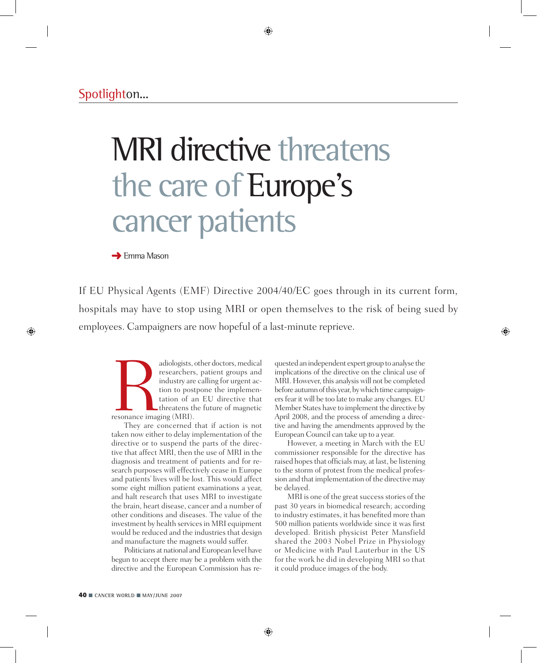# MRI directive threatens the care of Europe's cancer patients

 $\rightarrow$  Emma Mason

If EU Physical Agents (EMF) Directive 2004/40/EC goes through in its current form, hospitals may have to stop using MRI or open themselves to the risk of being sued by employees. Campaigners are now hopeful of a last-minute reprieve.

adiologists, other doctors, medical<br>researchers, patient groups and<br>industry are calling for urgent ac-<br>tion to postpone the implemen-<br>tation of an EU directive that<br>threatens the future of magnetic<br>resonance imaging (MRI) researchers, patient groups and industry are calling for urgent action to postpone the implementation of an EU directive that threatens the future of magnetic resonance imaging (MRI).

They are concerned that if action is not taken now either to delay implementation of the directive or to suspend the parts of the directive that affect MRI, then the use of MRI in the diagnosis and treatment of patients and for research purposes will effectively cease in Europe and patients' lives will be lost. This would affect some eight million patient examinations a year, and halt research that uses MRI to investigate the brain, heart disease, cancer and a number of other conditions and diseases. The value of the investment by health services in MRI equipment would be reduced and the industries that design and manufacture the magnets would suffer.

Politicians at national and European level have begun to accept there may be a problem with the directive and the European Commission has requested an independent expert group to analyse the implications of the directive on the clinical use of MRI. However, this analysis will not be completed before autumn of this year, by which time campaigners fear it will be too late to make any changes. EU Member States have to implement the directive by April 2008, and the process of amending a directive and having the amendments approved by the European Council can take up to a year.

However, a meeting in March with the EU commissioner responsible for the directive has raised hopes that officials may, at last, be listening to the storm of protest from the medical profession and that implementation of the directive may be delayed.

MRI is one of the great success stories of the past 30 years in biomedical research; according to industry estimates, it has benefited more than 500 million patients worldwide since it was first developed. British physicist Peter Mansfield shared the 2003 Nobel Prize in Physiology or Medicine with Paul Lauterbur in the US for the work he did in developing MRI so that it could produce images of the body.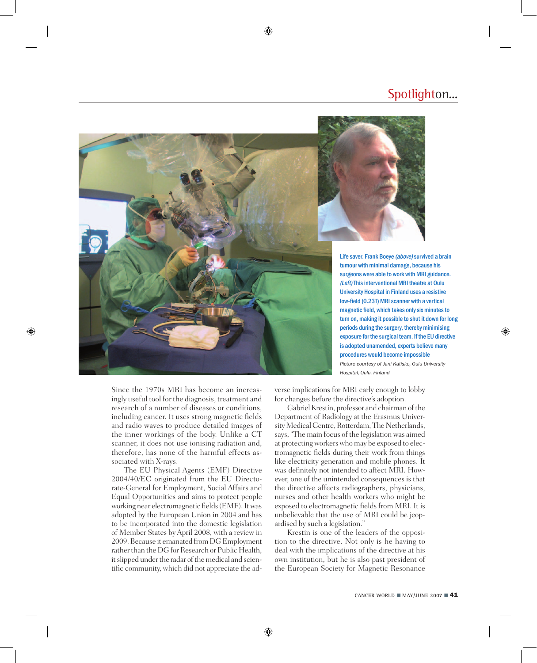### Spotlighton...





Life saver. Frank Boeye (above) survived a brain tumour with minimal damage, because his surgeons were able to work with MRI guidance. (Left) This interventional MRI theatre at Oulu University Hospital in Finland uses a resistive low-field (0.23T) MRI scanner with a vertical magnetic field, which takes only six minutes to turn on, making it possible to shut it down for long periods during the surgery, thereby minimising exposure for the surgical team. If the EU directive is adopted unamended, experts believe many procedures would become impossible *Picture courtesy of Jani Katisko, Oulu University* 

*Hospital, Oulu, Finland*

Since the 1970s MRI has become an increasingly useful tool for the diagnosis, treatment and research of a number of diseases or conditions, including cancer. It uses strong magnetic fields and radio waves to produce detailed images of the inner workings of the body. Unlike a CT scanner, it does not use ionising radiation and, therefore, has none of the harmful effects associated with X-rays.

The EU Physical Agents (EMF) Directive 2004/40/EC originated from the EU Directorate-General for Employment, Social Affairs and Equal Opportunities and aims to protect people working near electromagnetic fields (EMF). It was adopted by the European Union in 2004 and has to be incorporated into the domestic legislation of member states by April 2008, with a review in 2009. Because it emanated from DG Employment rather than the DG for Research or Public Health, it slipped under the radar of the medical and scientific community, which did not appreciate the adverse implications for MRI early enough to lobby for changes before the directive's adoption.

Gabriel Krestin, professor and chairman of the Department of Radiology at the Erasmus University Medical Centre, Rotterdam, The Netherlands, says, "The main focus of the legislation was aimed at protecting workers who may be exposed to electromagnetic fields during their work from things like electricity generation and mobile phones. It was definitely not intended to affect MRI. However, one of the unintended consequences is that the directive affects radiographers, physicians, nurses and other health workers who might be exposed to electromagnetic fields from MRI. It is unbelievable that the use of MRI could be jeopardised by such a legislation."

Krestin is one of the leaders of the opposition to the directive. Not only is he having to deal with the implications of the directive at his own institution, but he is also past president of the European Society for Magnetic Resonance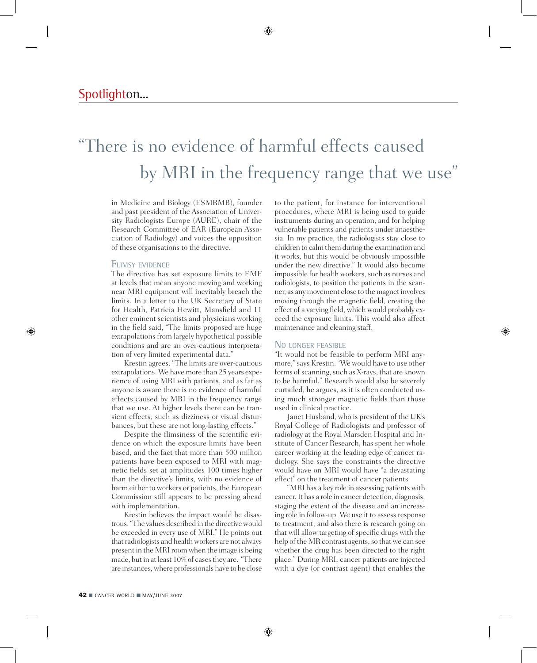# "There is no evidence of harmful effects caused by MRI in the frequency range that we use"

in Medicine and Biology (ESMRMB), founder and past president of the Association of University Radiologists Europe (AURE), chair of the Research Committee of EAR (European Association of Radiology) and voices the opposition of these organisations to the directive.

#### Flimsy evidence

The directive has set exposure limits to EMF at levels that mean anyone moving and working near MRI equipment will inevitably breach the limits. In a letter to the UK Secretary of State for Health, Patricia Hewitt, Mansfield and 11 other eminent scientists and physicians working in the field said, "The limits proposed are huge extrapolations from largely hypothetical possible conditions and are an over-cautious interpretation of very limited experimental data."

Krestin agrees. "The limits are over-cautious extrapolations. We have more than 25 years experience of using MRI with patients, and as far as anyone is aware there is no evidence of harmful effects caused by MRI in the frequency range that we use. At higher levels there can be transient effects, such as dizziness or visual disturbances, but these are not long-lasting effects."

Despite the flimsiness of the scientific evidence on which the exposure limits have been based, and the fact that more than 500 million patients have been exposed to MRI with magnetic fields set at amplitudes 100 times higher than the directive's limits, with no evidence of harm either to workers or patients, the European Commission still appears to be pressing ahead with implementation.

Krestin believes the impact would be disastrous. "The values described in the directive would be exceeded in every use of MRI." He points out that radiologists and health workers are not always present in the MRI room when the image is being made, but in at least 10% of cases they are. "There are instances, where professionals have to be close

to the patient, for instance for interventional procedures, where MRI is being used to guide instruments during an operation, and for helping vulnerable patients and patients under anaesthesia. In my practice, the radiologists stay close to children to calm them during the examination and it works, but this would be obviously impossible under the new directive." It would also become impossible for health workers, such as nurses and radiologists, to position the patients in the scanner, as any movement close to the magnet involves moving through the magnetic field, creating the effect of a varying field, which would probably exceed the exposure limits. This would also affect maintenance and cleaning staff.

#### NO LONGER FEASIBLE

"It would not be feasible to perform MRI anymore," says Krestin. "We would have to use other forms of scanning, such as X-rays, that are known to be harmful." Research would also be severely curtailed, he argues, as it is often conducted using much stronger magnetic fields than those used in clinical practice.

Janet Husband, who is president of the UK's Royal College of Radiologists and professor of radiology at the Royal Marsden Hospital and Institute of Cancer Research, has spent her whole career working at the leading edge of cancer radiology. She says the constraints the directive would have on MRI would have "a devastating effect" on the treatment of cancer patients.

"MRI has a key role in assessing patients with cancer. It has a role in cancer detection, diagnosis, staging the extent of the disease and an increasing role in follow-up. We use it to assess response to treatment, and also there is research going on that will allow targeting of specific drugs with the help of the MR contrast agents, so that we can see whether the drug has been directed to the right place." During MRI, cancer patients are injected with a dye (or contrast agent) that enables the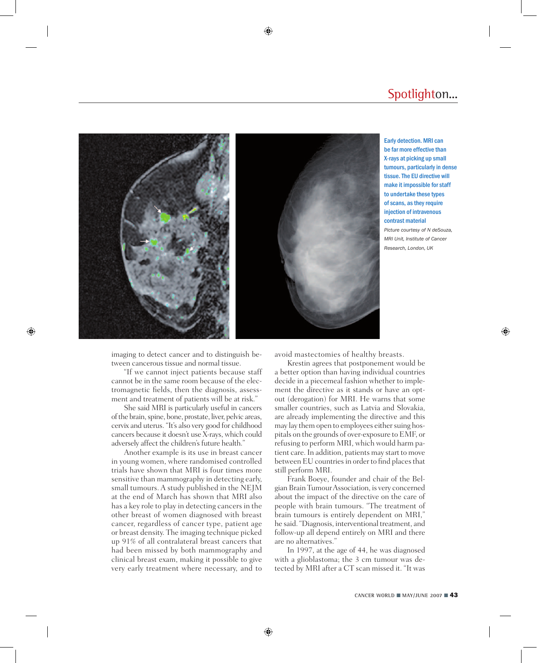### Spotlighton...



Early detection. MRI can be far more effective than X-rays at picking up small tumours, particularly in dense tissue. The EU directive will make it impossible for staff to undertake these types of scans, as they require injection of intravenous contrast material

*Picture courtesy of N deSouza, MRI Unit, Institute of Cancer Research, London, UK*

imaging to detect cancer and to distinguish between cancerous tissue and normal tissue.

"If we cannot inject patients because staff cannot be in the same room because of the electromagnetic fields, then the diagnosis, assessment and treatment of patients will be at risk."

She said MRI is particularly useful in cancers of the brain, spine, bone, prostate, liver, pelvic areas, cervix and uterus. "It's also very good for childhood cancers because it doesn't use X-rays, which could adversely affect the children's future health."

Another example is its use in breast cancer in young women, where randomised controlled trials have shown that MRI is four times more sensitive than mammography in detecting early, small tumours. A study published in the NEJM at the end of March has shown that MRI also has a key role to play in detecting cancers in the other breast of women diagnosed with breast cancer, regardless of cancer type, patient age or breast density. The imaging technique picked up 91% of all contralateral breast cancers that had been missed by both mammography and clinical breast exam, making it possible to give very early treatment where necessary, and to avoid mastectomies of healthy breasts.

Krestin agrees that postponement would be a better option than having individual countries decide in a piecemeal fashion whether to implement the directive as it stands or have an optout (derogation) for MRI. He warns that some smaller countries, such as Latvia and Slovakia, are already implementing the directive and this may lay them open to employees either suing hospitals on the grounds of over-exposure to EMF, or refusing to perform MRI, which would harm patient care. In addition, patients may start to move between EU countries in order to find places that still perform MRI.

Frank Boeye, founder and chair of the Belgian Brain Tumour Association, is very concerned about the impact of the directive on the care of people with brain tumours. "The treatment of brain tumours is entirely dependent on MRI," he said. "Diagnosis, interventional treatment, and follow-up all depend entirely on MRI and there are no alternatives."

In 1997, at the age of 44, he was diagnosed with a glioblastoma; the 3 cm tumour was detected by MRI after a CT scan missed it. "It was